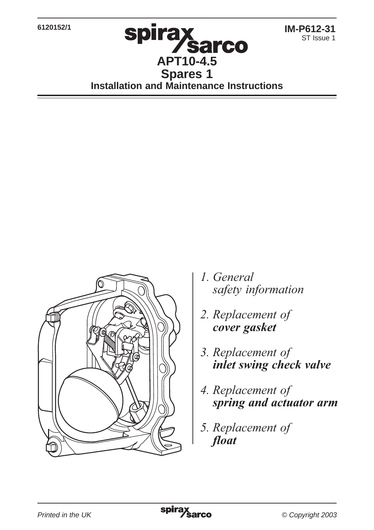**6120152/1**

**Sarco APT10-4.5 Spares 1 Installation and Maintenance Instructions**

**spirax** 



- 1. General safety information
- 2. Replacement of *<u>cover gasket</u>*
- 3. Replacement of inlet swing check valve
- 4. Replacement of spring and actuator arm
- 5. Replacement of float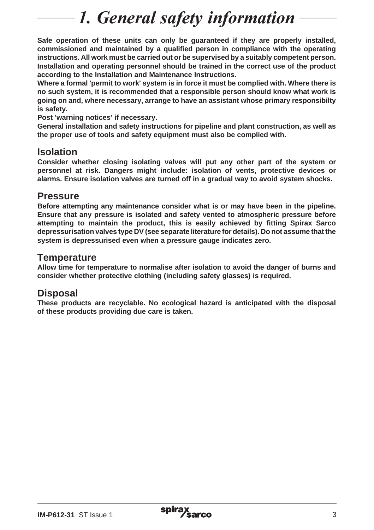# 1. General safety information

**Safe operation of these units can only be guaranteed if they are properly installed, commissioned and maintained by a qualified person in compliance with the operating instructions. All work must be carried out or be supervised by a suitably competent person. Installation and operating personnel should be trained in the correct use of the product according to the Installation and Maintenance Instructions.**

**Where a formal 'permit to work' system is in force it must be complied with. Where there is no such system, it is recommended that a responsible person should know what work is going on and, where necessary, arrange to have an assistant whose primary responsibilty is safety.**

**Post 'warning notices' if necessary.**

**General installation and safety instructions for pipeline and plant construction, as well as the proper use of tools and safety equipment must also be complied with.**

### **Isolation**

**Consider whether closing isolating valves will put any other part of the system or personnel at risk. Dangers might include: isolation of vents, protective devices or alarms. Ensure isolation valves are turned off in a gradual way to avoid system shocks.**

#### **Pressure**

**Before attempting any maintenance consider what is or may have been in the pipeline. Ensure that any pressure is isolated and safety vented to atmospheric pressure before attempting to maintain the product, this is easily achieved by fitting Spirax Sarco depressurisation valves type DV (see separate literature for details). Do not assume that the system is depressurised even when a pressure gauge indicates zero.**

#### **Temperature**

**Allow time for temperature to normalise after isolation to avoid the danger of burns and consider whether protective clothing (including safety glasses) is required.**

## **Disposal**

**These products are recyclable. No ecological hazard is anticipated with the disposal of these products providing due care is taken.**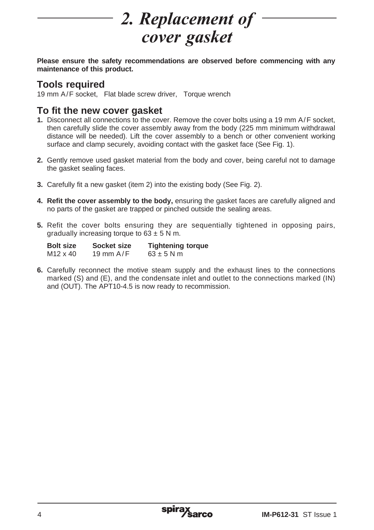# 2. Replacement of

**Please ensure the safety recommendations are observed before commencing with any maintenance of this product.**

## **Tools required**

19 mm A/F socket, Flat blade screw driver, Torque wrench

#### **To fit the new cover gasket**

- **1.** Disconnect all connections to the cover. Remove the cover bolts using a 19 mm A/F socket, then carefully slide the cover assembly away from the body (225 mm minimum withdrawal distance will be needed). Lift the cover assembly to a bench or other convenient working surface and clamp securely, avoiding contact with the gasket face (See Fig. 1).
- **2.** Gently remove used gasket material from the body and cover, being careful not to damage the gasket sealing faces.
- **3.** Carefully fit a new gasket (item 2) into the existing body (See Fig. 2).
- **4. Refit the cover assembly to the body,** ensuring the gasket faces are carefully aligned and no parts of the gasket are trapped or pinched outside the sealing areas.
- **5.** Refit the cover bolts ensuring they are sequentially tightened in opposing pairs, gradually increasing torque to  $63 \pm 5$  N m.

| Bolt size | Socket size | <b>Tightening torque</b> |
|-----------|-------------|--------------------------|
| M12 x 40  | 19 mm $A/F$ | $63 \pm 5$ N m           |

**6.** Carefully reconnect the motive steam supply and the exhaust lines to the connections marked (S) and (E), and the condensate inlet and outlet to the connections marked (IN) and (OUT). The APT10-4.5 is now ready to recommission.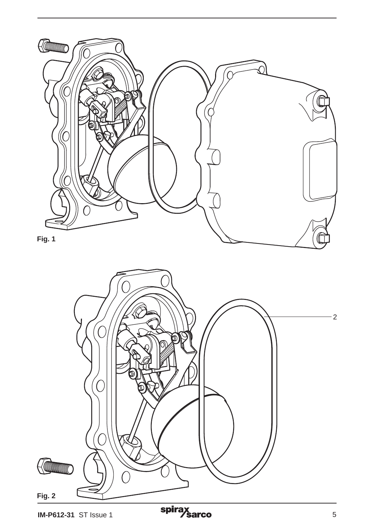

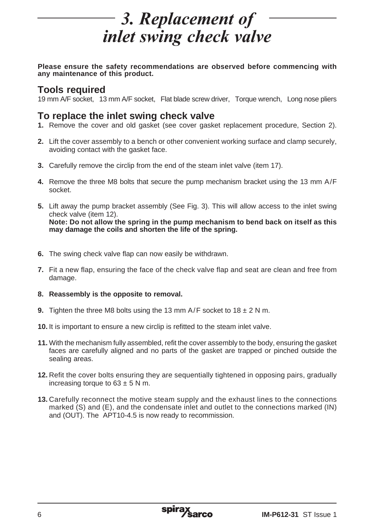## 3. Replacement of *inlet swing check valve*

**Please ensure the safety recommendations are observed before commencing with any maintenance of this product.**

#### **Tools required**

19 mm A/F socket, 13 mm A/F socket, Flat blade screw driver, Torque wrench, Long nose pliers

#### **To replace the inlet swing check valve**

- **1.** Remove the cover and old gasket (see cover gasket replacement procedure, Section 2).
- **2.** Lift the cover assembly to a bench or other convenient working surface and clamp securely, avoiding contact with the gasket face.
- **3.** Carefully remove the circlip from the end of the steam inlet valve (item 17).
- **4.** Remove the three M8 bolts that secure the pump mechanism bracket using the 13 mm A/F socket.
- **5.** Lift away the pump bracket assembly (See Fig. 3). This will allow access to the inlet swing check valve (item 12). **Note: Do not allow the spring in the pump mechanism to bend back on itself as this may damage the coils and shorten the life of the spring.**
- **6.** The swing check valve flap can now easily be withdrawn.
- **7.** Fit a new flap, ensuring the face of the check valve flap and seat are clean and free from damage.
- **8. Reassembly is the opposite to removal.**
- **9.** Tighten the three M8 bolts using the 13 mm  $A/F$  socket to 18  $\pm$  2 N m.
- **10.** It is important to ensure a new circlip is refitted to the steam inlet valve.
- **11.** With the mechanism fully assembled, refit the cover assembly to the body, ensuring the gasket faces are carefully aligned and no parts of the gasket are trapped or pinched outside the sealing areas.
- **12.** Refit the cover bolts ensuring they are sequentially tightened in opposing pairs, gradually increasing torque to  $63 \pm 5$  N m.
- **13.** Carefully reconnect the motive steam supply and the exhaust lines to the connections marked (S) and (E), and the condensate inlet and outlet to the connections marked (IN) and (OUT). The APT10-4.5 is now ready to recommission.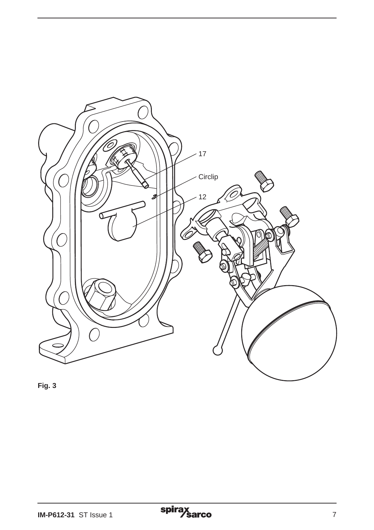

**Fig. 3**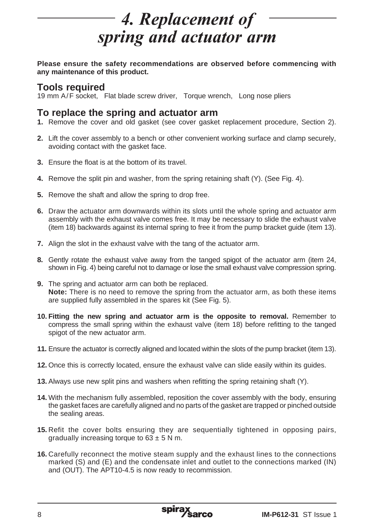# **4. Replacement of** spring and actuator arm

**Please ensure the safety recommendations are observed before commencing with any maintenance of this product.**

#### **Tools required**

19 mm A/F socket, Flat blade screw driver, Torque wrench, Long nose pliers

#### **To replace the spring and actuator arm**

- **1.** Remove the cover and old gasket (see cover gasket replacement procedure, Section 2).
- **2.** Lift the cover assembly to a bench or other convenient working surface and clamp securely, avoiding contact with the gasket face.
- **3.** Ensure the float is at the bottom of its travel.
- **4.** Remove the split pin and washer, from the spring retaining shaft (Y). (See Fig. 4).
- **5.** Remove the shaft and allow the spring to drop free.
- **6.** Draw the actuator arm downwards within its slots until the whole spring and actuator arm assembly with the exhaust valve comes free. It may be necessary to slide the exhaust valve (item 18) backwards against its internal spring to free it from the pump bracket guide (item 13).
- **7.** Align the slot in the exhaust valve with the tang of the actuator arm.
- **8.** Gently rotate the exhaust valve away from the tanged spigot of the actuator arm (item 24, shown in Fig. 4) being careful not to damage or lose the small exhaust valve compression spring.
- **9.** The spring and actuator arm can both be replaced. **Note:** There is no need to remove the spring from the actuator arm, as both these items are supplied fully assembled in the spares kit (See Fig. 5).
- **10. Fitting the new spring and actuator arm is the opposite to removal.** Remember to compress the small spring within the exhaust valve (item 18) before refitting to the tanged spigot of the new actuator arm.
- **11.** Ensure the actuator is correctly aligned and located within the slots of the pump bracket (item 13).
- **12.** Once this is correctly located, ensure the exhaust valve can slide easily within its guides.
- **13.** Always use new split pins and washers when refitting the spring retaining shaft (Y).
- **14.** With the mechanism fully assembled, reposition the cover assembly with the body, ensuring the gasket faces are carefully aligned and no parts of the gasket are trapped or pinched outside the sealing areas.
- **15.** Refit the cover bolts ensuring they are sequentially tightened in opposing pairs, gradually increasing torque to  $63 \pm 5$  N m.
- **16.** Carefully reconnect the motive steam supply and the exhaust lines to the connections marked (S) and (E) and the condensate inlet and outlet to the connections marked (IN) and (OUT). The APT10-4.5 is now ready to recommission.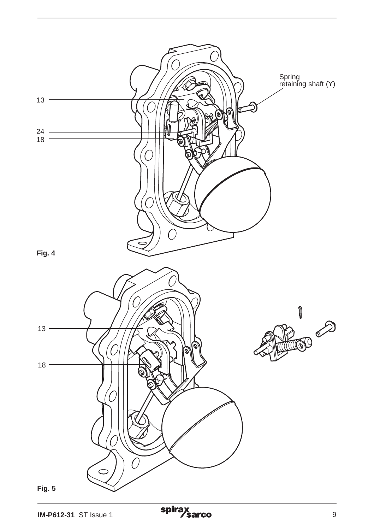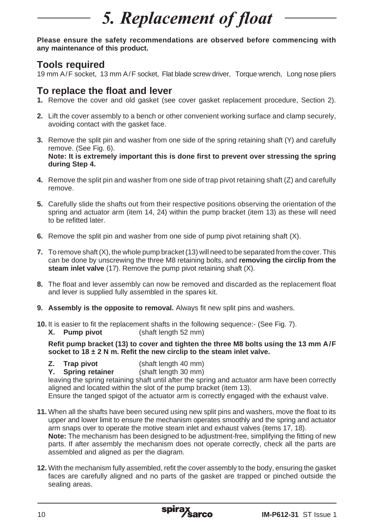# 5. Replacement of float

**Please ensure the safety recommendations are observed before commencing with any maintenance of this product.**

#### **Tools required**

19 mm A/F socket, 13 mm A/F socket, Flat blade screw driver, Torque wrench, Long nose pliers

### **To replace the float and lever**

- **1.** Remove the cover and old gasket (see cover gasket replacement procedure, Section 2).
- **2.** Lift the cover assembly to a bench or other convenient working surface and clamp securely, avoiding contact with the gasket face.
- **3.** Remove the split pin and washer from one side of the spring retaining shaft (Y) and carefully remove. (See Fig. 6). **Note: It is extremely important this is done first to prevent over stressing the spring during Step 4.**
- **4.** Remove the split pin and washer from one side of trap pivot retaining shaft (Z) and carefully remove.
- **5.** Carefully slide the shafts out from their respective positions observing the orientation of the spring and actuator arm (item 14, 24) within the pump bracket (item 13) as these will need to be refitted later.
- **6.** Remove the split pin and washer from one side of pump pivot retaining shaft (X).
- **7.** To remove shaft (X), the whole pump bracket (13) will need to be separated from the cover. This can be done by unscrewing the three M8 retaining bolts, and **removing the circlip from the steam inlet valve** (17). Remove the pump pivot retaining shaft (X).
- **8.** The float and lever assembly can now be removed and discarded as the replacement float and lever is supplied fully assembled in the spares kit.
- **9. Assembly is the opposite to removal.** Always fit new split pins and washers.
- **10.** It is easier to fit the replacement shafts in the following sequence:- (See Fig. 7).<br>**X.** Pump pivot (shaft length 52 mm)
	- (shaft length 52 mm)

**Refit pump bracket (13) to cover and tighten the three M8 bolts using the 13 mm A/F socket to 18 ± 2 N m. Refit the new circlip to the steam inlet valve.**

- **Z. Trap pivot** (shaft length 40 mm)
- **Y. Spring retainer** (shaft length 30 mm)

leaving the spring retaining shaft until after the spring and actuator arm have been correctly aligned and located within the slot of the pump bracket (item 13).

Ensure the tanged spigot of the actuator arm is correctly engaged with the exhaust valve.

- **11.** When all the shafts have been secured using new split pins and washers, move the float to its upper and lower limit to ensure the mechanism operates smoothly and the spring and actuator arm snaps over to operate the motive steam inlet and exhaust valves (items 17, 18). **Note:** The mechanism has been designed to be adjustment-free, simplifying the fitting of new parts. If after assembly the mechanism does not operate correctly, check all the parts are
- assembled and aligned as per the diagram. **12.** With the mechanism fully assembled, refit the cover assembly to the body, ensuring the gasket faces are carefully aligned and no parts of the gasket are trapped or pinched outside the sealing areas.